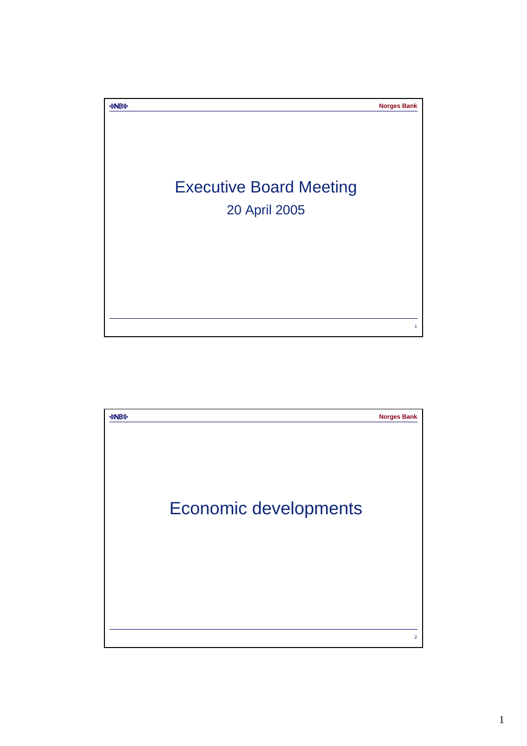

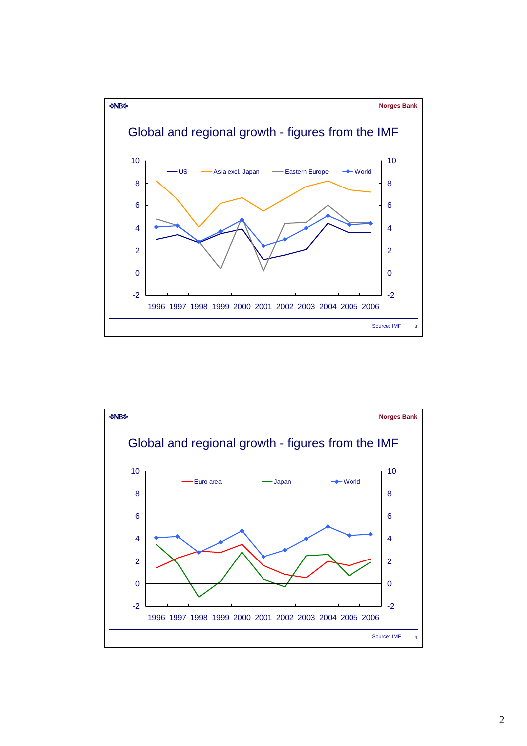

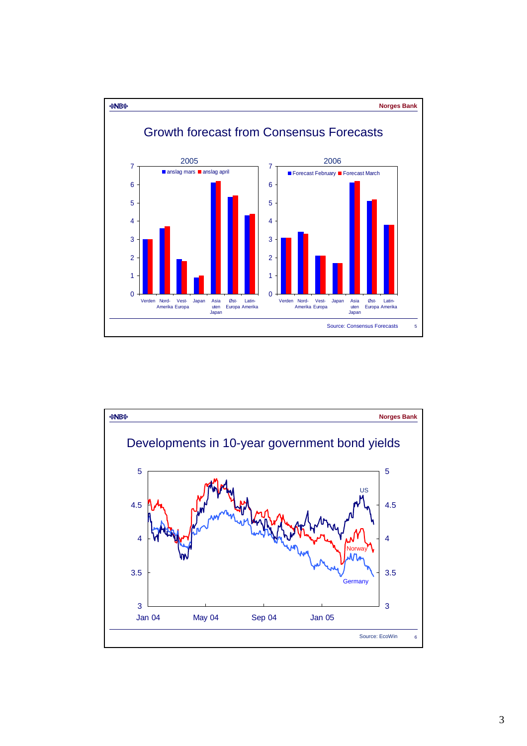

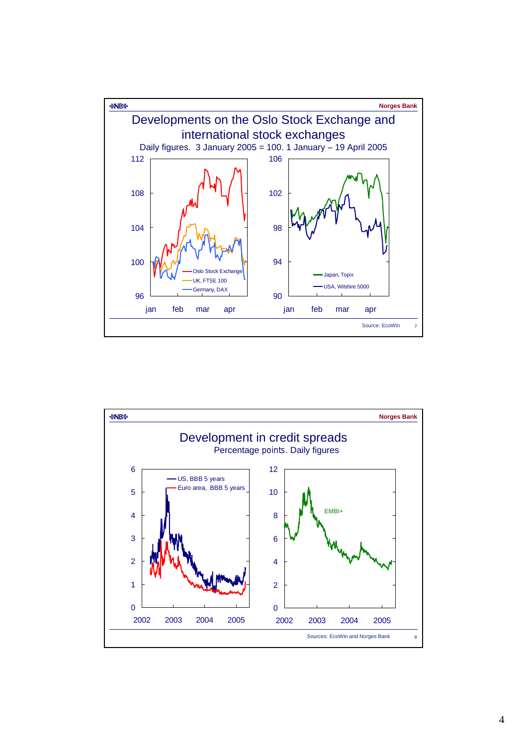

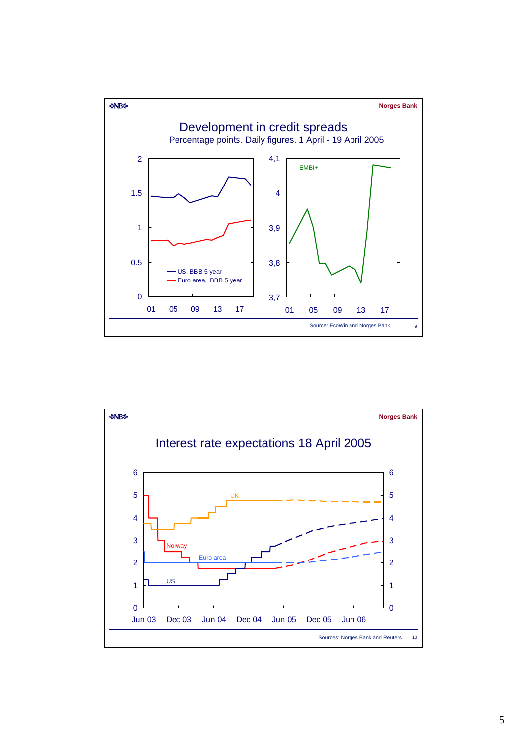

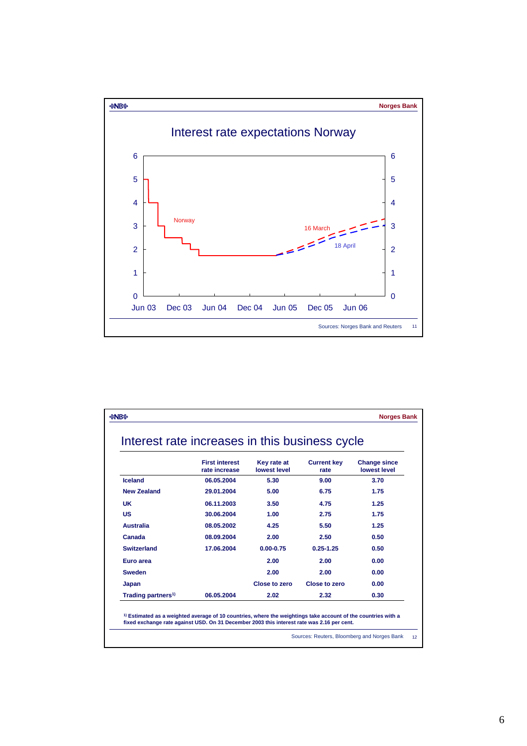

| Interest rate increases in this business cycle |                                        |                             |                            |                                     |
|------------------------------------------------|----------------------------------------|-----------------------------|----------------------------|-------------------------------------|
|                                                | <b>First interest</b><br>rate increase | Key rate at<br>lowest level | <b>Current key</b><br>rate | <b>Change since</b><br>lowest level |
| Iceland                                        | 06.05.2004                             | 5.30                        | 9.00                       | 3.70                                |
| <b>New Zealand</b>                             | 29.01.2004                             | 5.00                        | 6.75                       | 1.75                                |
| <b>UK</b>                                      | 06.11.2003                             | 3.50                        | 4.75                       | 1.25                                |
| <b>US</b>                                      | 30.06.2004                             | 1.00                        | 2.75                       | 1.75                                |
| <b>Australia</b>                               | 08.05.2002                             | 4.25                        | 5.50                       | 1.25                                |
| Canada                                         | 08.09.2004                             | 2.00                        | 2.50                       | 0.50                                |
| <b>Switzerland</b>                             | 17.06.2004                             | $0.00 - 0.75$               | $0.25 - 1.25$              | 0.50                                |
| Euro area                                      |                                        | 2.00                        | 2.00                       | 0.00                                |
| <b>Sweden</b>                                  |                                        | 2.00                        | 2.00                       | 0.00                                |
| Japan                                          |                                        | Close to zero               | <b>Close to zero</b>       | 0.00                                |
| Trading partners <sup>1)</sup>                 | 06.05.2004                             | 2.02                        | 2.32                       | 0.30                                |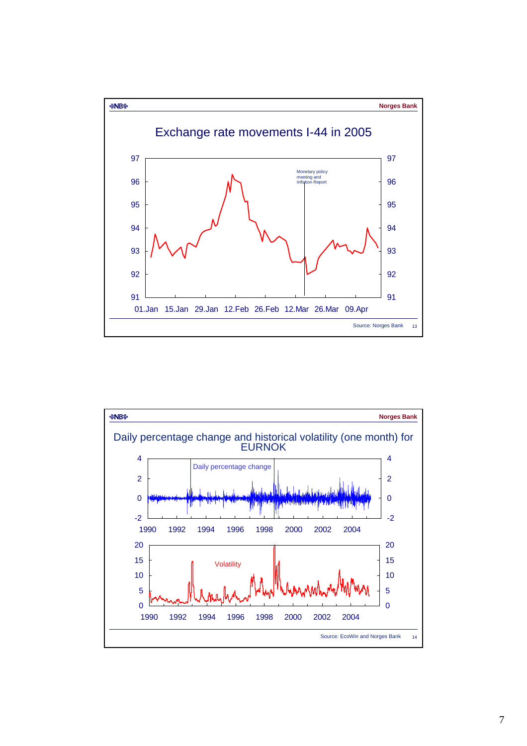

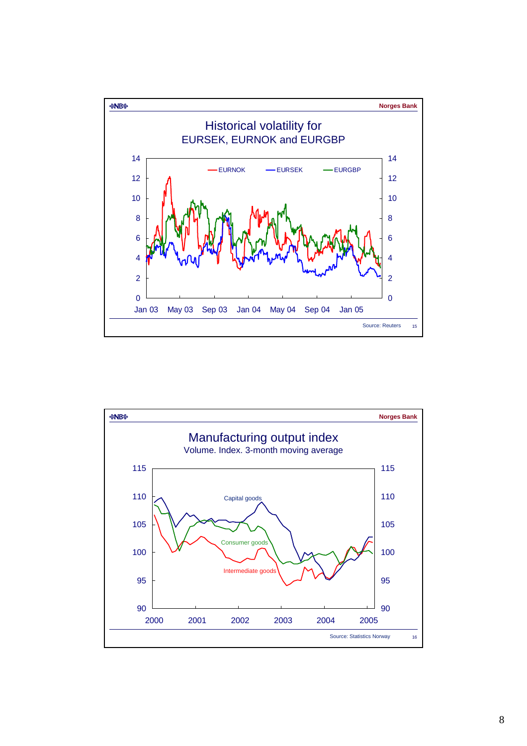

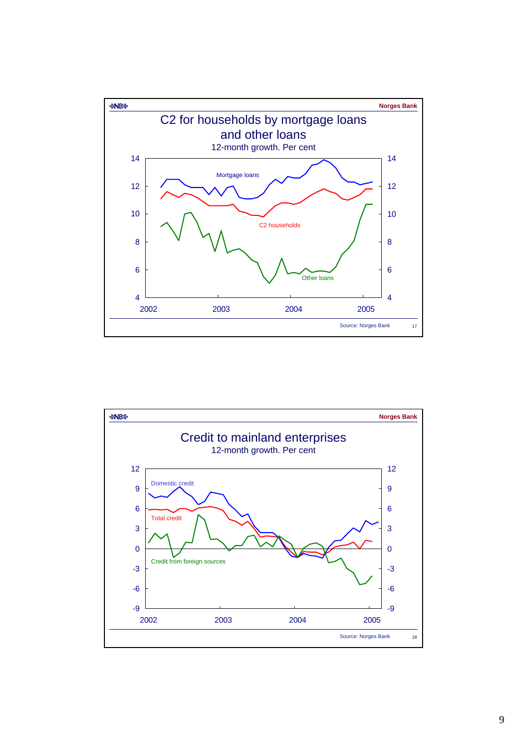

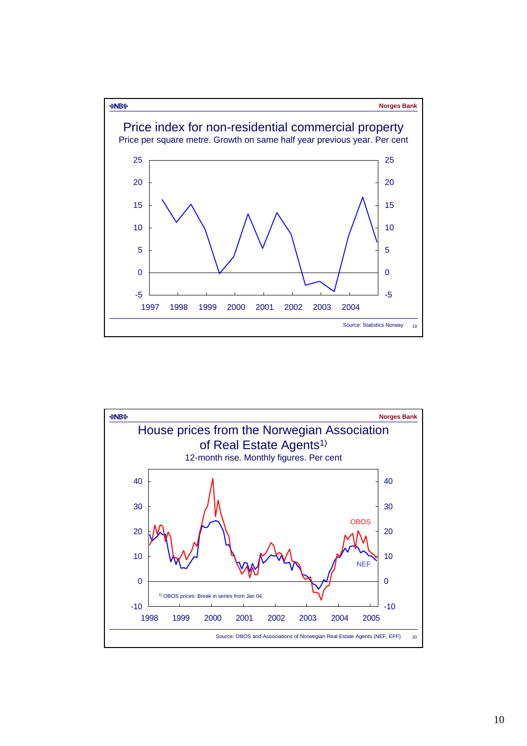

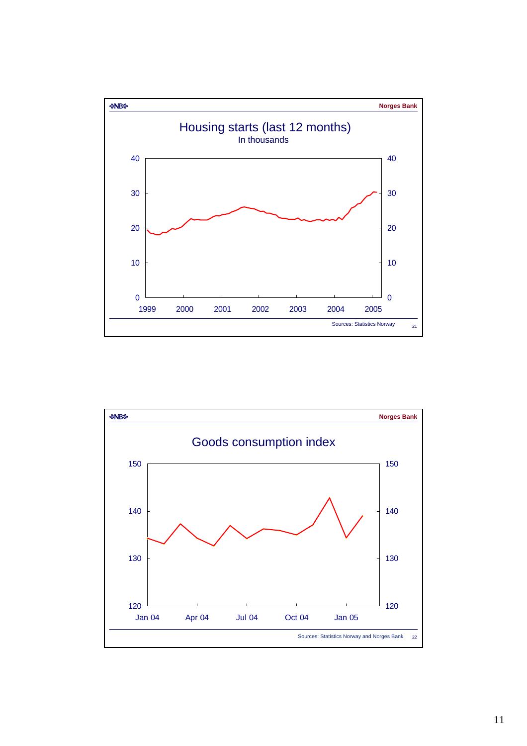

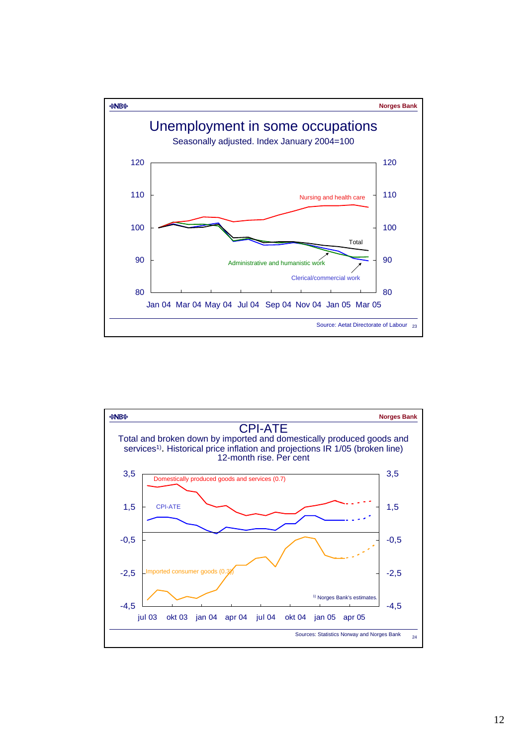